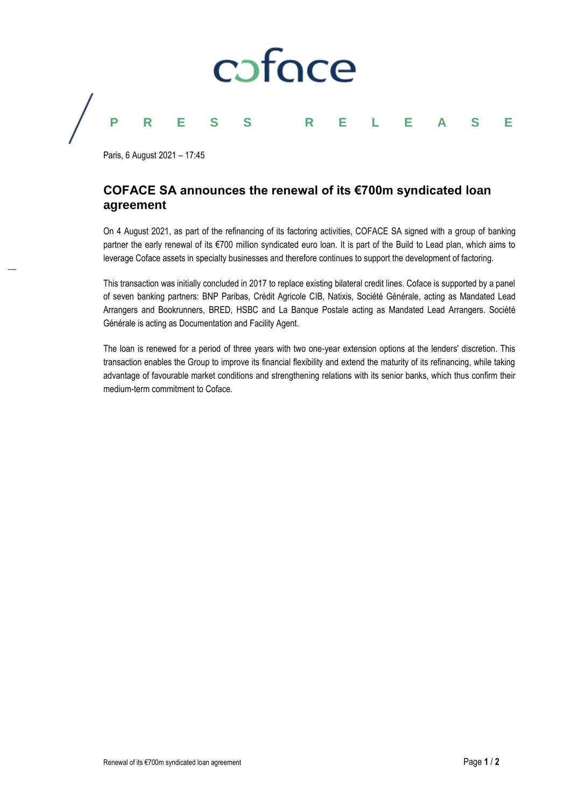

Paris, 6 August 2021 – 17:45

# **COFACE SA announces the renewal of its €700m syndicated loan agreement**

On 4 August 2021, as part of the refinancing of its factoring activities, COFACE SA signed with a group of banking partner the early renewal of its €700 million syndicated euro loan. It is part of the Build to Lead plan, which aims to leverage Coface assets in specialty businesses and therefore continues to support the development of factoring.

This transaction was initially concluded in 2017 to replace existing bilateral credit lines. Coface is supported by a panel of seven banking partners: BNP Paribas, Crédit Agricole CIB, Natixis, Société Générale, acting as Mandated Lead Arrangers and Bookrunners, BRED, HSBC and La Banque Postale acting as Mandated Lead Arrangers. Société Générale is acting as Documentation and Facility Agent.

The loan is renewed for a period of three years with two one-year extension options at the lenders' discretion. This transaction enables the Group to improve its financial flexibility and extend the maturity of its refinancing, while taking advantage of favourable market conditions and strengthening relations with its senior banks, which thus confirm their medium-term commitment to Coface.